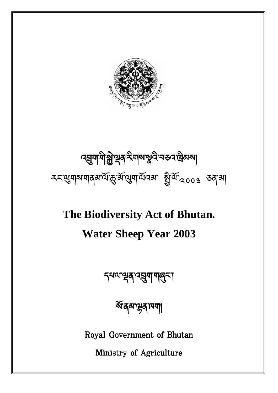

# ব্হ্মশাশীক্ষ্ণস্বৰ ইশকস্বৰ নহন দ্ৰিমকা རང་གས་གནམ་ལོ་་མོ་ག་ལོའམ་ ི་ལོ་༢༠༠ ཅན་མ།

# **The Biodiversity Act of Bhutan.**

# **Water Sheep Year 2003**

इसव्य सूत्र प्रसुषा गातुरू ।

ষ্টব্রমন্ডুব্যব্যা

Royal Government of Bhutan

Ministry of Agriculture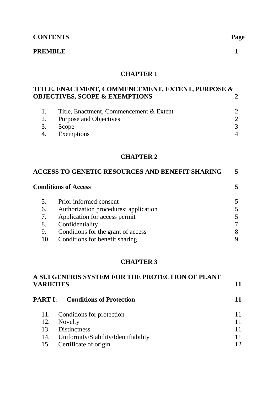# **CONTENTS Page**

# **PREMBLE** 1

# **CHAPTER 1**

# **TITLE, ENACTMENT, COMMENCEMENT, EXTENT, PURPOSE & OBJECTIVES, SCOPE & EXEMPTIONS**

| 1. Title, Enactment, Commencement & Extent |  |
|--------------------------------------------|--|
| 2. Purpose and Objectives                  |  |
| 3. Scope                                   |  |
| 4. Exemptions                              |  |

# **CHAPTER 2**

| ACCESS TO GENETIC RESOURCES AND BENEFIT SHARING |                                       |  |  |
|-------------------------------------------------|---------------------------------------|--|--|
|                                                 | <b>Conditions of Access</b>           |  |  |
| 5.                                              | Prior informed consent                |  |  |
| 6.                                              | Authorization procedures: application |  |  |
| 7.                                              | Application for access permit         |  |  |
| 8.                                              | Confidentiality                       |  |  |
| 9.                                              | Conditions for the grant of access    |  |  |
|                                                 | Conditions for benefit sharing        |  |  |

# **CHAPTER 3**

| A SUI GENERIS SYSTEM FOR THE PROTECTION OF PLANT<br><b>VARIETIES</b> |                                         |  |
|----------------------------------------------------------------------|-----------------------------------------|--|
|                                                                      |                                         |  |
|                                                                      | <b>PART I:</b> Conditions of Protection |  |
| 11.                                                                  | Conditions for protection               |  |
| 12.                                                                  | Novelty                                 |  |
| 13.                                                                  | <b>Distinctness</b>                     |  |
| 14.                                                                  | Uniformity/Stability/Identifiability    |  |
| 15.                                                                  | Certificate of origin                   |  |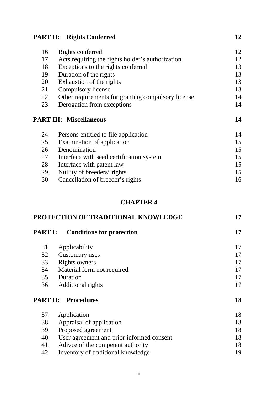# **PART II:** Rights Conferred 12

| 16. | Rights conferred                                   | 12 |
|-----|----------------------------------------------------|----|
| 17. | Acts requiring the rights holder's authorization   | 12 |
| 18. | Exceptions to the rights conferred                 | 13 |
| 19. | Duration of the rights                             | 13 |
| 20. | Exhaustion of the rights                           | 13 |
| 21. | Compulsory license                                 | 13 |
| 22. | Other requirements for granting compulsory license | 14 |
| 23. | Derogation from exceptions                         | 14 |
|     | <b>PART III: Miscellaneous</b>                     | 14 |
| 24. | Persons entitled to file application               | 14 |
| 25. |                                                    |    |
|     | Examination of application                         | 15 |
| 26. | Denomination                                       | 15 |
| 27. | Interface with seed certification system           | 15 |
| 28. | Interface with patent law                          | 15 |
| 29. | Nullity of breeders' rights                        | 15 |

# **CHAPTER 4**

| PROTECTION OF TRADITIONAL KNOWLEDGE |                                           | 17 |
|-------------------------------------|-------------------------------------------|----|
| <b>PART I:</b>                      | <b>Conditions for protection</b>          | 17 |
| 31.                                 | Applicability                             | 17 |
| 32.                                 | Customary uses                            | 17 |
| 33.                                 | Rights owners                             | 17 |
| 34.                                 | Material form not required                | 17 |
|                                     | 35. Duration                              | 17 |
| 36.                                 | Additional rights                         | 17 |
| <b>PART II:</b>                     | <b>Procedures</b>                         | 18 |
| 37.                                 | Application                               | 18 |
| 38.                                 | Appraisal of application                  | 18 |
| 39.                                 | Proposed agreement                        | 18 |
| 40.                                 | User agreement and prior informed consent | 18 |
| 41.                                 | Adive of the competent authority          | 18 |
| 42.                                 | Inventory of traditional knowledge        | 19 |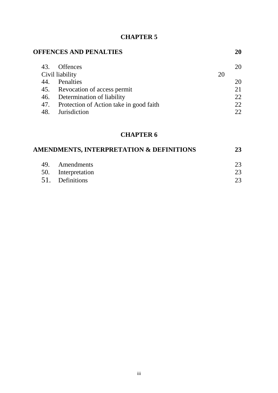| <b>OFFENCES AND PENALTIES</b> |                                         |    | 20 |
|-------------------------------|-----------------------------------------|----|----|
| 43.                           | <b>Offences</b>                         |    | 20 |
| Civil liability               |                                         | 20 |    |
| 44.                           | Penalties                               |    | 20 |
|                               | 45. Revocation of access permit         |    |    |
| 46.                           | Determination of liability              |    | 22 |
| 47.                           | Protection of Action take in good faith |    | 22 |
| 48.                           | <b>Jurisdiction</b>                     |    |    |
|                               |                                         |    |    |

# **CHAPTER 6**

| AMENDMENTS, INTERPRETATION & DEFINITIONS |                    | 23 |
|------------------------------------------|--------------------|----|
|                                          | 49. Amendments     | 23 |
|                                          | 50. Interpretation | 23 |
|                                          | 51. Definitions    |    |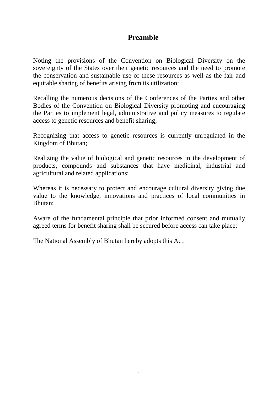# **Preamble**

Noting the provisions of the Convention on Biological Diversity on the sovereignty of the States over their genetic resources and the need to promote the conservation and sustainable use of these resources as well as the fair and equitable sharing of benefits arising from its utilization;

Recalling the numerous decisions of the Conferences of the Parties and other Bodies of the Convention on Biological Diversity promoting and encouraging the Parties to implement legal, administrative and policy measures to regulate access to genetic resources and benefit sharing;

Recognizing that access to genetic resources is currently unregulated in the Kingdom of Bhutan;

Realizing the value of biological and genetic resources in the development of products, compounds and substances that have medicinal, industrial and agricultural and related applications;

Whereas it is necessary to protect and encourage cultural diversity giving due value to the knowledge, innovations and practices of local communities in Bhutan;

Aware of the fundamental principle that prior informed consent and mutually agreed terms for benefit sharing shall be secured before access can take place;

The National Assembly of Bhutan hereby adopts this Act.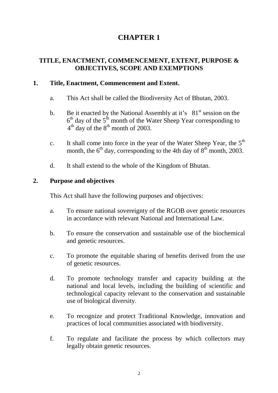# **TITLE, ENACTMENT, COMMENCEMENT, EXTENT, PURPOSE & OBJECTIVES, SCOPE AND EXEMPTIONS**

# **1. Title, Enactment, Commencement and Extent.**

- a. This Act shall be called the Biodiversity Act of Bhutan, 2003.
- b. Be it enacted by the National Assembly at it's  $81<sup>st</sup>$  session on the  $6<sup>th</sup>$  day of the  $5<sup>th</sup>$  month of the Water Sheep Year corresponding to  $4<sup>th</sup>$  day of the  $8<sup>th</sup>$  month of 2003.
- c. It shall come into force in the year of the Water Sheep Year, the  $5<sup>th</sup>$ month, the  $6<sup>th</sup>$  day, corresponding to the 4th day of  $8<sup>th</sup>$  month, 2003.
- d. It shall extend to the whole of the Kingdom of Bhutan.

# **2. Purpose and objectives**

This Act shall have the following purposes and objectives:

- a. To ensure national sovereignty of the RGOB over genetic resources in accordance with relevant National and International Law.
- b. To ensure the conservation and sustainable use of the biochemical and genetic resources.
- c. To promote the equitable sharing of benefits derived from the use of genetic resources.
- d. To promote technology transfer and capacity building at the national and local levels, including the building of scientific and technological capacity relevant to the conservation and sustainable use of biological diversity.
- e. To recognize and protect Traditional Knowledge, innovation and practices of local communities associated with biodiversity.
- f. To regulate and facilitate the process by which collectors may legally obtain genetic resources.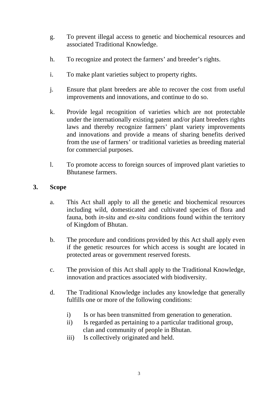- g. To prevent illegal access to genetic and biochemical resources and associated Traditional Knowledge.
- h. To recognize and protect the farmers' and breeder's rights.
- i. To make plant varieties subject to property rights.
- j. Ensure that plant breeders are able to recover the cost from useful improvements and innovations, and continue to do so.
- k. Provide legal recognition of varieties which are not protectable under the internationally existing patent and/or plant breeders rights laws and thereby recognize farmers' plant variety improvements and innovations and provide a means of sharing benefits derived from the use of farmers' or traditional varieties as breeding material for commercial purposes.
- l. To promote access to foreign sources of improved plant varieties to Bhutanese farmers.

# **3. Scope**

- a. This Act shall apply to all the genetic and biochemical resources including wild, domesticated and cultivated species of flora and fauna, both *in-situ* and *ex-situ* conditions found within the territory of Kingdom of Bhutan.
- b. The procedure and conditions provided by this Act shall apply even if the genetic resources for which access is sought are located in protected areas or government reserved forests.
- c. The provision of this Act shall apply to the Traditional Knowledge, innovation and practices associated with biodiversity.
- d. The Traditional Knowledge includes any knowledge that generally fulfills one or more of the following conditions:
	- i) Is or has been transmitted from generation to generation.
	- ii) Is regarded as pertaining to a particular traditional group, clan and community of people in Bhutan.
	- iii) Is collectively originated and held.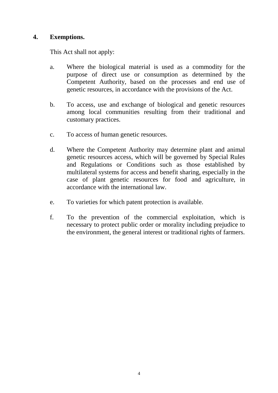# **4. Exemptions.**

This Act shall not apply:

- a. Where the biological material is used as a commodity for the purpose of direct use or consumption as determined by the Competent Authority, based on the processes and end use of genetic resources, in accordance with the provisions of the Act.
- b. To access, use and exchange of biological and genetic resources among local communities resulting from their traditional and customary practices.
- c. To access of human genetic resources.
- d. Where the Competent Authority may determine plant and animal genetic resources access, which will be governed by Special Rules and Regulations or Conditions such as those established by multilateral systems for access and benefit sharing, especially in the case of plant genetic resources for food and agriculture, in accordance with the international law.
- e. To varieties for which patent protection is available.
- f. To the prevention of the commercial exploitation, which is necessary to protect public order or morality including prejudice to the environment, the general interest or traditional rights of farmers.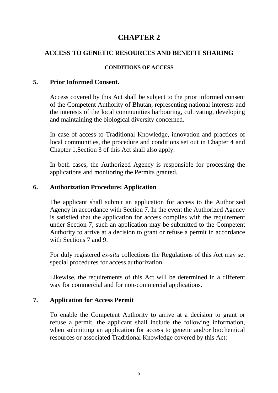# **ACCESS TO GENETIC RESOURCES AND BENEFIT SHARING**

#### **CONDITIONS OF ACCESS**

### **5. Prior Informed Consent.**

Access covered by this Act shall be subject to the prior informed consent of the Competent Authority of Bhutan, representing national interests and the interests of the local communities harbouring, cultivating, developing and maintaining the biological diversity concerned.

In case of access to Traditional Knowledge, innovation and practices of local communities, the procedure and conditions set out in Chapter 4 and Chapter 1,Section 3 of this Act shall also apply.

In both cases, the Authorized Agency is responsible for processing the applications and monitoring the Permits granted.

### **6. Authorization Procedure: Application**

The applicant shall submit an application for access to the Authorized Agency in accordance with Section 7. In the event the Authorized Agency is satisfied that the application for access complies with the requirement under Section 7, such an application may be submitted to the Competent Authority to arrive at a decision to grant or refuse a permit in accordance with Sections 7 and 9.

For duly registered *ex-situ* collections the Regulations of this Act may set special procedures for access authorization.

Likewise, the requirements of this Act will be determined in a different way for commercial and for non-commercial applications**.** 

#### **7. Application for Access Permit**

To enable the Competent Authority to arrive at a decision to grant or refuse a permit, the applicant shall include the following information, when submitting an application for access to genetic and/or biochemical resources or associated Traditional Knowledge covered by this Act: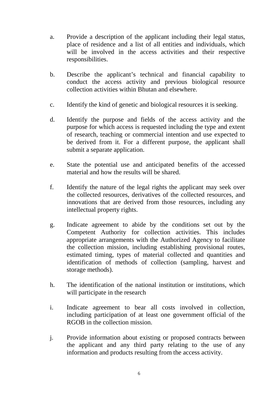- a. Provide a description of the applicant including their legal status, place of residence and a list of all entities and individuals, which will be involved in the access activities and their respective responsibilities.
- b. Describe the applicant's technical and financial capability to conduct the access activity and previous biological resource collection activities within Bhutan and elsewhere.
- c. Identify the kind of genetic and biological resources it is seeking.
- d. Identify the purpose and fields of the access activity and the purpose for which access is requested including the type and extent of research, teaching or commercial intention and use expected to be derived from it. For a different purpose, the applicant shall submit a separate application.
- e. State the potential use and anticipated benefits of the accessed material and how the results will be shared.
- f. Identify the nature of the legal rights the applicant may seek over the collected resources, derivatives of the collected resources, and innovations that are derived from those resources, including any intellectual property rights.
- g. Indicate agreement to abide by the conditions set out by the Competent Authority for collection activities. This includes appropriate arrangements with the Authorized Agency to facilitate the collection mission, including establishing provisional routes, estimated timing, types of material collected and quantities and identification of methods of collection (sampling, harvest and storage methods).
- h. The identification of the national institution or institutions, which will participate in the research
- i. Indicate agreement to bear all costs involved in collection, including participation of at least one government official of the RGOB in the collection mission.
- j. Provide information about existing or proposed contracts between the applicant and any third party relating to the use of any information and products resulting from the access activity.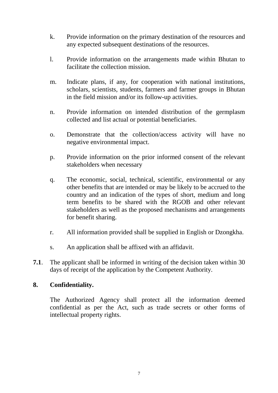- k. Provide information on the primary destination of the resources and any expected subsequent destinations of the resources.
- l. Provide information on the arrangements made within Bhutan to facilitate the collection mission.
- m. Indicate plans, if any, for cooperation with national institutions, scholars, scientists, students, farmers and farmer groups in Bhutan in the field mission and/or its follow-up activities.
- n. Provide information on intended distribution of the germplasm collected and list actual or potential beneficiaries.
- o. Demonstrate that the collection/access activity will have no negative environmental impact.
- p. Provide information on the prior informed consent of the relevant stakeholders when necessary
- q. The economic, social, technical, scientific, environmental or any other benefits that are intended or may be likely to be accrued to the country and an indication of the types of short, medium and long term benefits to be shared with the RGOB and other relevant stakeholders as well as the proposed mechanisms and arrangements for benefit sharing.
- r. All information provided shall be supplied in English or Dzongkha.
- s. An application shall be affixed with an affidavit.
- **7.1**. The applicant shall be informed in writing of the decision taken within 30 days of receipt of the application by the Competent Authority.

# **8. Confidentiality.**

The Authorized Agency shall protect all the information deemed confidential as per the Act, such as trade secrets or other forms of intellectual property rights.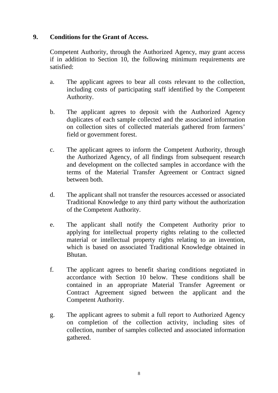# **9. Conditions for the Grant of Access.**

Competent Authority, through the Authorized Agency, may grant access if in addition to Section 10, the following minimum requirements are satisfied:

- a. The applicant agrees to bear all costs relevant to the collection, including costs of participating staff identified by the Competent Authority.
- b. The applicant agrees to deposit with the Authorized Agency duplicates of each sample collected and the associated information on collection sites of collected materials gathered from farmers' field or government forest.
- c. The applicant agrees to inform the Competent Authority, through the Authorized Agency, of all findings from subsequent research and development on the collected samples in accordance with the terms of the Material Transfer Agreement or Contract signed between both.
- d. The applicant shall not transfer the resources accessed or associated Traditional Knowledge to any third party without the authorization of the Competent Authority.
- e. The applicant shall notify the Competent Authority prior to applying for intellectual property rights relating to the collected material or intellectual property rights relating to an invention, which is based on associated Traditional Knowledge obtained in Bhutan.
- f. The applicant agrees to benefit sharing conditions negotiated in accordance with Section 10 below. These conditions shall be contained in an appropriate Material Transfer Agreement or Contract Agreement signed between the applicant and the Competent Authority.
- g. The applicant agrees to submit a full report to Authorized Agency on completion of the collection activity, including sites of collection, number of samples collected and associated information gathered.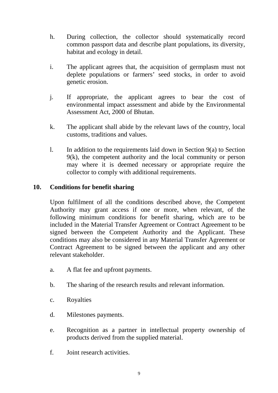- h. During collection, the collector should systematically record common passport data and describe plant populations, its diversity, habitat and ecology in detail.
- i. The applicant agrees that, the acquisition of germplasm must not deplete populations or farmers' seed stocks, in order to avoid genetic erosion.
- j. If appropriate, the applicant agrees to bear the cost of environmental impact assessment and abide by the Environmental Assessment Act, 2000 of Bhutan.
- k. The applicant shall abide by the relevant laws of the country, local customs, traditions and values.
- l. In addition to the requirements laid down in Section 9(a) to Section 9(k), the competent authority and the local community or person may where it is deemed necessary or appropriate require the collector to comply with additional requirements.

# **10. Conditions for benefit sharing**

Upon fulfilment of all the conditions described above, the Competent Authority may grant access if one or more, when relevant, of the following minimum conditions for benefit sharing, which are to be included in the Material Transfer Agreement or Contract Agreement to be signed between the Competent Authority and the Applicant. These conditions may also be considered in any Material Transfer Agreement or Contract Agreement to be signed between the applicant and any other relevant stakeholder.

- a. A flat fee and upfront payments.
- b. The sharing of the research results and relevant information.
- c. Royalties
- d. Milestones payments.
- e. Recognition as a partner in intellectual property ownership of products derived from the supplied material.
- f. Joint research activities.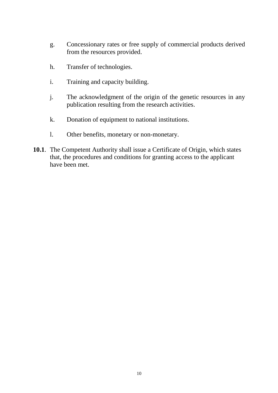- g. Concessionary rates or free supply of commercial products derived from the resources provided.
- h. Transfer of technologies.
- i. Training and capacity building.
- j. The acknowledgment of the origin of the genetic resources in any publication resulting from the research activities.
- k. Donation of equipment to national institutions.
- l. Other benefits, monetary or non-monetary.
- **10.1**. The Competent Authority shall issue a Certificate of Origin, which states that, the procedures and conditions for granting access to the applicant have been met.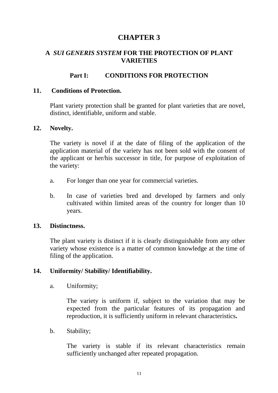# **A** *SUI GENERIS SYSTEM* **FOR THE PROTECTION OF PLANT VARIETIES**

# **Part I: CONDITIONS FOR PROTECTION**

### **11. Conditions of Protection.**

Plant variety protection shall be granted for plant varieties that are novel, distinct, identifiable, uniform and stable.

#### **12. Novelty.**

The variety is novel if at the date of filing of the application of the application material of the variety has not been sold with the consent of the applicant or her/his successor in title, for purpose of exploitation of the variety:

- a. For longer than one year for commercial varieties.
- b. In case of varieties bred and developed by farmers and only cultivated within limited areas of the country for longer than 10 years.

#### **13. Distinctness.**

The plant variety is distinct if it is clearly distinguishable from any other variety whose existence is a matter of common knowledge at the time of filing of the application.

#### **14. Uniformity/ Stability/ Identifiability.**

a. Uniformity;

The variety is uniform if, subject to the variation that may be expected from the particular features of its propagation and reproduction, it is sufficiently uniform in relevant characteristics**.** 

b. Stability;

The variety is stable if its relevant characteristics remain sufficiently unchanged after repeated propagation.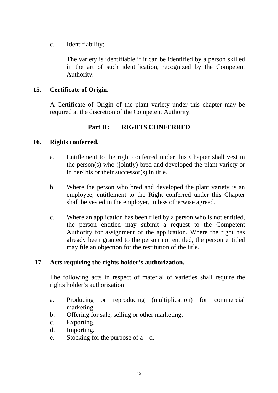c. Identifiability;

The variety is identifiable if it can be identified by a person skilled in the art of such identification, recognized by the Competent Authority.

# **15. Certificate of Origin.**

A Certificate of Origin of the plant variety under this chapter may be required at the discretion of the Competent Authority.

# **Part II: RIGHTS CONFERRED**

# **16. Rights conferred.**

- a. Entitlement to the right conferred under this Chapter shall vest in the person(s) who (jointly) bred and developed the plant variety or in her/ his or their successor(s) in title.
- b. Where the person who bred and developed the plant variety is an employee, entitlement to the Right conferred under this Chapter shall be vested in the employer, unless otherwise agreed.
- c. Where an application has been filed by a person who is not entitled, the person entitled may submit a request to the Competent Authority for assignment of the application. Where the right has already been granted to the person not entitled, the person entitled may file an objection for the restitution of the title.

# **17. Acts requiring the rights holder's authorization.**

The following acts in respect of material of varieties shall require the rights holder's authorization:

- a. Producing or reproducing (multiplication) for commercial marketing.
- b. Offering for sale, selling or other marketing.
- c. Exporting.
- d. Importing.
- e. Stocking for the purpose of  $a d$ .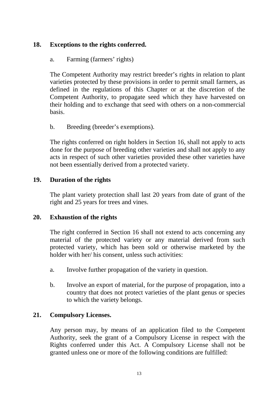# **18. Exceptions to the rights conferred.**

a. Farming (farmers' rights)

The Competent Authority may restrict breeder's rights in relation to plant varieties protected by these provisions in order to permit small farmers, as defined in the regulations of this Chapter or at the discretion of the Competent Authority, to propagate seed which they have harvested on their holding and to exchange that seed with others on a non-commercial basis.

b. Breeding (breeder's exemptions).

The rights conferred on right holders in Section 16, shall not apply to acts done for the purpose of breeding other varieties and shall not apply to any acts in respect of such other varieties provided these other varieties have not been essentially derived from a protected variety.

# **19. Duration of the rights**

The plant variety protection shall last 20 years from date of grant of the right and 25 years for trees and vines.

# **20. Exhaustion of the rights**

The right conferred in Section 16 shall not extend to acts concerning any material of the protected variety or any material derived from such protected variety, which has been sold or otherwise marketed by the holder with her/ his consent, unless such activities:

- a. Involve further propagation of the variety in question.
- b. Involve an export of material, for the purpose of propagation, into a country that does not protect varieties of the plant genus or species to which the variety belongs.

# **21. Compulsory Licenses.**

Any person may, by means of an application filed to the Competent Authority, seek the grant of a Compulsory License in respect with the Rights conferred under this Act. A Compulsory License shall not be granted unless one or more of the following conditions are fulfilled: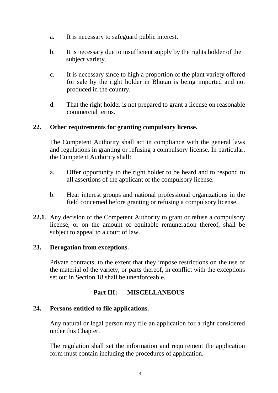- a. It is necessary to safeguard public interest.
- b. It is necessary due to insufficient supply by the rights holder of the subject variety.
- c. It is necessary since to high a proportion of the plant variety offered for sale by the right holder in Bhutan is being imported and not produced in the country.
- d. That the right holder is not prepared to grant a license on reasonable commercial terms.

# **22. Other requirements for granting compulsory license.**

The Competent Authority shall act in compliance with the general laws and regulations in granting or refusing a compulsory license. In particular, the Competent Authority shall:

- a. Offer opportunity to the right holder to be heard and to respond to all assertions of the applicant of the compulsory license.
- b. Hear interest groups and national professional organizations in the field concerned before granting or refusing a compulsory license.
- **22.1**. Any decision of the Competent Authority to grant or refuse a compulsory license, or on the amount of equitable remuneration thereof, shall be subject to appeal to a court of law.

#### **23. Derogation from exceptions.**

Private contracts, to the extent that they impose restrictions on the use of the material of the variety, or parts thereof, in conflict with the exceptions set out in Section 18 shall be unenforceable.

# **Part III: MISCELLANEOUS**

# **24. Persons entitled to file applications.**

Any natural or legal person may file an application for a right considered under this Chapter.

The regulation shall set the information and requirement the application form must contain including the procedures of application.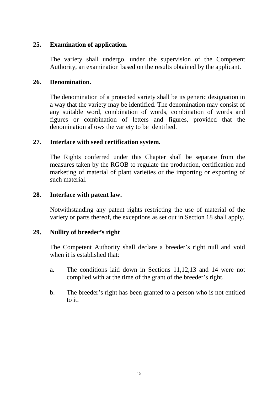# **25. Examination of application.**

The variety shall undergo, under the supervision of the Competent Authority, an examination based on the results obtained by the applicant.

# **26. Denomination.**

The denomination of a protected variety shall be its generic designation in a way that the variety may be identified. The denomination may consist of any suitable word, combination of words, combination of words and figures or combination of letters and figures, provided that the denomination allows the variety to be identified.

# **27. Interface with seed certification system.**

The Rights conferred under this Chapter shall be separate from the measures taken by the RGOB to regulate the production, certification and marketing of material of plant varieties or the importing or exporting of such material.

# **28. Interface with patent law.**

Notwithstanding any patent rights restricting the use of material of the variety or parts thereof, the exceptions as set out in Section 18 shall apply.

# **29. Nullity of breeder's right**

The Competent Authority shall declare a breeder's right null and void when it is established that:

- a. The conditions laid down in Sections 11,12,13 and 14 were not complied with at the time of the grant of the breeder's right,
- b. The breeder's right has been granted to a person who is not entitled to it.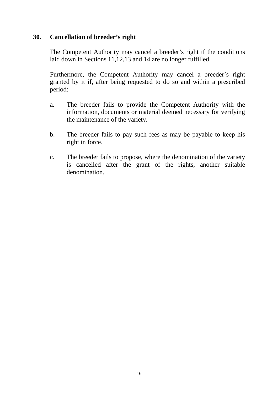# **30. Cancellation of breeder's right**

The Competent Authority may cancel a breeder's right if the conditions laid down in Sections 11,12,13 and 14 are no longer fulfilled.

Furthermore, the Competent Authority may cancel a breeder's right granted by it if, after being requested to do so and within a prescribed period:

- a. The breeder fails to provide the Competent Authority with the information, documents or material deemed necessary for verifying the maintenance of the variety.
- b. The breeder fails to pay such fees as may be payable to keep his right in force.
- c. The breeder fails to propose, where the denomination of the variety is cancelled after the grant of the rights, another suitable denomination.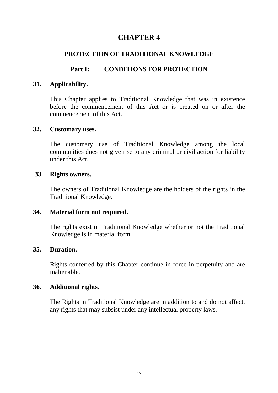# **PROTECTION OF TRADITIONAL KNOWLEDGE**

# **Part I: CONDITIONS FOR PROTECTION**

# **31. Applicability.**

This Chapter applies to Traditional Knowledge that was in existence before the commencement of this Act or is created on or after the commencement of this Act.

#### **32. Customary uses.**

The customary use of Traditional Knowledge among the local communities does not give rise to any criminal or civil action for liability under this Act.

### **33. Rights owners.**

The owners of Traditional Knowledge are the holders of the rights in the Traditional Knowledge.

#### **34. Material form not required.**

The rights exist in Traditional Knowledge whether or not the Traditional Knowledge is in material form.

# **35. Duration.**

Rights conferred by this Chapter continue in force in perpetuity and are inalienable.

# **36. Additional rights.**

The Rights in Traditional Knowledge are in addition to and do not affect, any rights that may subsist under any intellectual property laws.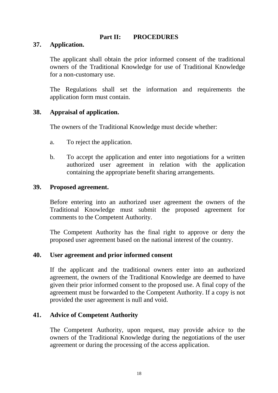# **Part II: PROCEDURES**

# **37. Application.**

The applicant shall obtain the prior informed consent of the traditional owners of the Traditional Knowledge for use of Traditional Knowledge for a non-customary use.

The Regulations shall set the information and requirements the application form must contain.

### **38. Appraisal of application.**

The owners of the Traditional Knowledge must decide whether:

- a. To reject the application.
- b. To accept the application and enter into negotiations for a written authorized user agreement in relation with the application containing the appropriate benefit sharing arrangements.

### **39. Proposed agreement.**

Before entering into an authorized user agreement the owners of the Traditional Knowledge must submit the proposed agreement for comments to the Competent Authority.

The Competent Authority has the final right to approve or deny the proposed user agreement based on the national interest of the country.

# **40. User agreement and prior informed consent**

If the applicant and the traditional owners enter into an authorized agreement, the owners of the Traditional Knowledge are deemed to have given their prior informed consent to the proposed use. A final copy of the agreement must be forwarded to the Competent Authority. If a copy is not provided the user agreement is null and void.

# **41. Advice of Competent Authority**

The Competent Authority, upon request, may provide advice to the owners of the Traditional Knowledge during the negotiations of the user agreement or during the processing of the access application.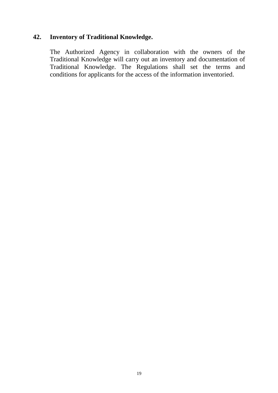# **42. Inventory of Traditional Knowledge.**

The Authorized Agency in collaboration with the owners of the Traditional Knowledge will carry out an inventory and documentation of Traditional Knowledge. The Regulations shall set the terms and conditions for applicants for the access of the information inventoried.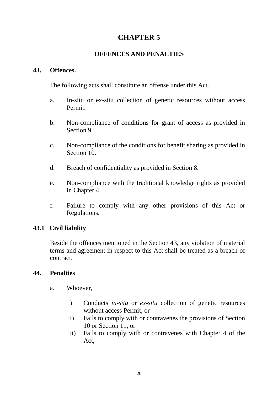# **OFFENCES AND PENALTIES**

# **43. Offences.**

The following acts shall constitute an offense under this Act.

- a. In-situ or ex-situ collection of genetic resources without access Permit.
- b. Non-compliance of conditions for grant of access as provided in Section 9.
- c. Non-compliance of the conditions for benefit sharing as provided in Section 10.
- d. Breach of confidentiality as provided in Section 8.
- e. Non-compliance with the traditional knowledge rights as provided in Chapter 4.
- f. Failure to comply with any other provisions of this Act or Regulations.

# **43.1 Civil liability**

Beside the offences mentioned in the Section 43, any violation of material terms and agreement in respect to this Act shall be treated as a breach of contract.

# **44. Penalties**

- a. Whoever,
	- i) Conducts *in-situ* or *ex-situ* collection of genetic resources without access Permit, or
	- ii) Fails to comply with or contravenes the provisions of Section 10 or Section 11, or
	- iii) Fails to comply with or contravenes with Chapter 4 of the Act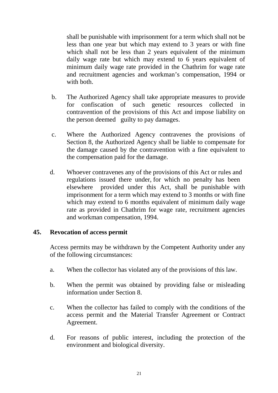shall be punishable with imprisonment for a term which shall not be less than one year but which may extend to 3 years or with fine which shall not be less than 2 years equivalent of the minimum daily wage rate but which may extend to 6 years equivalent of minimum daily wage rate provided in the Chathrim for wage rate and recruitment agencies and workman's compensation, 1994 or with both.

- b. The Authorized Agency shall take appropriate measures to provide for confiscation of such genetic resources collected in contravention of the provisions of this Act and impose liability on the person deemed guilty to pay damages.
- c. Where the Authorized Agency contravenes the provisions of Section 8, the Authorized Agency shall be liable to compensate for the damage caused by the contravention with a fine equivalent to the compensation paid for the damage.
- d. Whoever contravenes any of the provisions of this Act or rules and regulations issued there under, for which no penalty has been elsewhere provided under this Act, shall be punishable with imprisonment for a term which may extend to 3 months or with fine which may extend to 6 months equivalent of minimum daily wage rate as provided in Chathrim for wage rate, recruitment agencies and workman compensation, 1994.

# **45. Revocation of access permit**

Access permits may be withdrawn by the Competent Authority under any of the following circumstances:

- a. When the collector has violated any of the provisions of this law.
- b. When the permit was obtained by providing false or misleading information under Section 8.
- c. When the collector has failed to comply with the conditions of the access permit and the Material Transfer Agreement or Contract Agreement.
- d. For reasons of public interest, including the protection of the environment and biological diversity.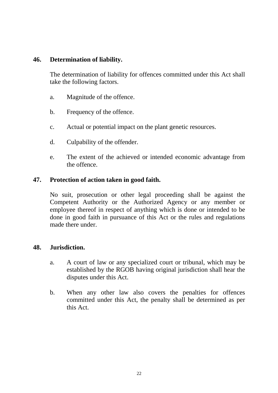# **46. Determination of liability.**

The determination of liability for offences committed under this Act shall take the following factors.

- a. Magnitude of the offence.
- b. Frequency of the offence.
- c. Actual or potential impact on the plant genetic resources.
- d. Culpability of the offender.
- e. The extent of the achieved or intended economic advantage from the offence.

### **47. Protection of action taken in good faith.**

No suit, prosecution or other legal proceeding shall be against the Competent Authority or the Authorized Agency or any member or employee thereof in respect of anything which is done or intended to be done in good faith in pursuance of this Act or the rules and regulations made there under.

#### **48. Jurisdiction.**

- a. A court of law or any specialized court or tribunal, which may be established by the RGOB having original jurisdiction shall hear the disputes under this Act.
- b. When any other law also covers the penalties for offences committed under this Act, the penalty shall be determined as per this Act.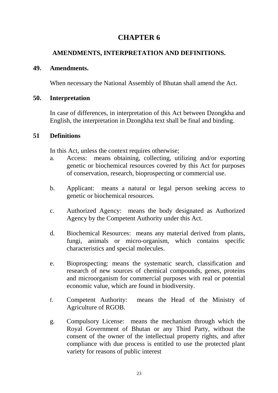# **AMENDMENTS, INTERPRETATION AND DEFINITIONS.**

# **49. Amendments.**

When necessary the National Assembly of Bhutan shall amend the Act.

# **50. Interpretation**

In case of differences, in interpretation of this Act between Dzongkha and English, the interpretation in Dzongkha text shall be final and binding.

# **51 Definitions**

In this Act, unless the context requires otherwise;

- a. Access: means obtaining, collecting, utilizing and/or exporting genetic or biochemical resources covered by this Act for purposes of conservation, research, bioprospecting or commercial use.
- b. Applicant: means a natural or legal person seeking access to genetic or biochemical resources.
- c. Authorized Agency: means the body designated as Authorized Agency by the Competent Authority under this Act.
- d. Biochemical Resources: means any material derived from plants, fungi, animals or micro-organism, which contains specific characteristics and special molecules.
- e. Bioprospecting: means the systematic search, classification and research of new sources of chemical compounds, genes, proteins and microorganism for commercial purposes with real or potential economic value, which are found in biodiversity.
- f. Competent Authority: means the Head of the Ministry of Agriculture of RGOB.
- g. Compulsory License: means the mechanism through which the Royal Government of Bhutan or any Third Party, without the consent of the owner of the intellectual property rights, and after compliance with due process is entitled to use the protected plant variety for reasons of public interest